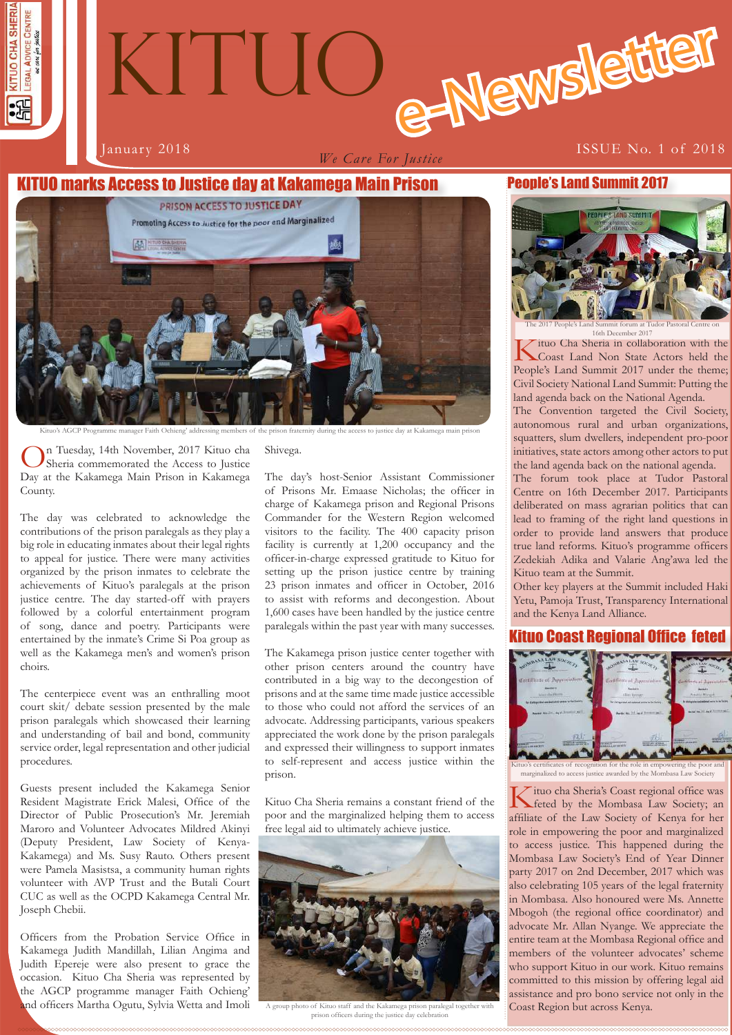

*We Care For Justice*

#### O marks Access to Justice day at Kakamega Main Prison



On Tuesday, 14th November, 2017 Kituo cha Sheria commemorated the Access to Justice Day at the Kakamega Main Prison in Kakamega County.

The day was celebrated to acknowledge the contributions of the prison paralegals as they play a big role in educating inmates about their legal rights to appeal for justice. There were many activities organized by the prison inmates to celebrate the achievements of Kituo's paralegals at the prison justice centre. The day started-off with prayers followed by a colorful entertainment program of song, dance and poetry. Participants were entertained by the inmate's Crime Si Poa group as well as the Kakamega men's and women's prison choirs.

The centerpiece event was an enthralling moot court skit/ debate session presented by the male prison paralegals which showcased their learning and understanding of bail and bond, community service order, legal representation and other judicial procedures.

Guests present included the Kakamega Senior Resident Magistrate Erick Malesi, Office of the Director of Public Prosecution's Mr. Jeremiah Maroro and Volunteer Advocates Mildred Akinyi (Deputy President, Law Society of Kenya-Kakamega) and Ms. Susy Rauto. Others present were Pamela Masistsa, a community human rights volunteer with AVP Trust and the Butali Court CUC as well as the OCPD Kakamega Central Mr. Joseph Chebii.

Officers from the Probation Service Office in Kakamega Judith Mandillah, Lilian Angima and Judith Epereje were also present to grace the occasion. Kituo Cha Sheria was represented by the AGCP programme manager Faith Ochieng' and officers Martha Ogutu, Sylvia Wetta and Imoli

Shiyega.

The day's host-Senior Assistant Commissioner of Prisons Mr. Emaase Nicholas; the officer in charge of Kakamega prison and Regional Prisons Commander for the Western Region welcomed visitors to the facility. The 400 capacity prison facility is currently at 1,200 occupancy and the officer-in-charge expressed gratitude to Kituo for setting up the prison justice centre by training 23 prison inmates and officer in October, 2016 to assist with reforms and decongestion. About 1,600 cases have been handled by the justice centre paralegals within the past year with many successes.

The Kakamega prison justice center together with other prison centers around the country have contributed in a big way to the decongestion of prisons and at the same time made justice accessible to those who could not afford the services of an advocate. Addressing participants, various speakers appreciated the work done by the prison paralegals and expressed their willingness to support inmates to self-represent and access justice within the prison.

Kituo Cha Sheria remains a constant friend of the poor and the marginalized helping them to access free legal aid to ultimately achieve justice.



to of Kituo staff and the Kakamega prison paralegal together prison officers during the justice day celebration

#### People's Land Summit 2017



The 2017 People's Land Summit forum at Tudor Pastoral Centre on  $\sum_{\text{ituo} \text{Cha Sheria in collaboration with the}}$ 

Kituo Cha Sheria in collaboration with the Coast Land Non State Actors held the People's Land Summit 2017 under the theme; Civil Society National Land Summit: Putting the land agenda back on the National Agenda.

The Convention targeted the Civil Society, autonomous rural and urban organizations, squatters, slum dwellers, independent pro-poor initiatives, state actors among other actors to put the land agenda back on the national agenda.

The forum took place at Tudor Pastoral Centre on 16th December 2017. Participants deliberated on mass agrarian politics that can lead to framing of the right land questions in order to provide land answers that produce true land reforms. Kituo's programme officers Zedekiah Adika and Valarie Ang'awa led the Kituo team at the Summit.

Other key players at the Summit included Haki Yetu, Pamoja Trust, Transparency International and the Kenya Land Alliance.

#### Kituo Coast Regional Office feted



Kituo's certificates of recognition for the role in empowering the poor and marginalized to access justice awarded by the Mombasa Law Society

Kituo cha Sheria's Coast regional office was<br>feted by the Mombasa Law Society; an affiliate of the Law Society of Kenya for her role in empowering the poor and marginalized to access justice. This happened during the Mombasa Law Society's End of Year Dinner party 2017 on 2nd December, 2017 which was also celebrating 105 years of the legal fraternity in Mombasa. Also honoured were Ms. Annette Mbogoh (the regional office coordinator) and advocate Mr. Allan Nyange. We appreciate the entire team at the Mombasa Regional office and members of the volunteer advocates' scheme who support Kituo in our work. Kituo remains committed to this mission by offering legal aid assistance and pro bono service not only in the Coast Region but across Kenya.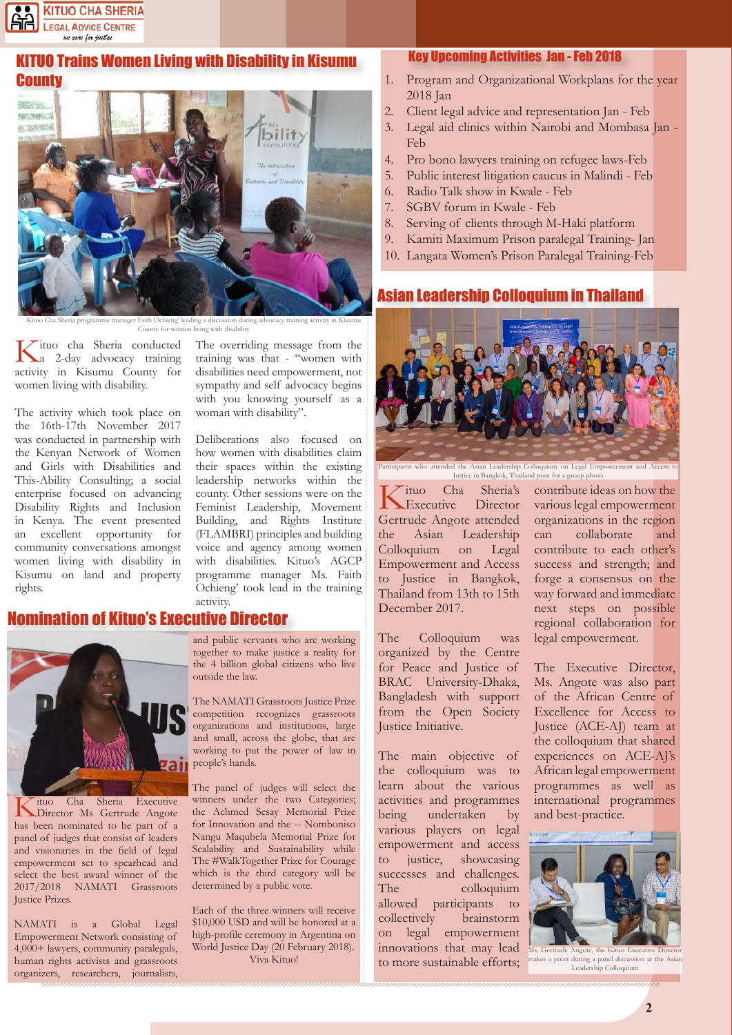

#### **TUO Trains Women Living with Disability in Kisumu** County



Kituo Cha Sheria programme manager Faith Ochieng' leading a discussion during advocacy training activity in Kisumu County for women living with disability

Kituo cha Sheria conducted a 2-day advocacy training activity in Kisumu County for women living with disability.

The activity which took place on the 16th-17th November 2017 was conducted in partnership with the Kenyan Network of Women and Girls with Disabilities and This-Ability Consulting; a social enterprise focused on advancing Disability Rights and Inclusion in Kenya. The event presented an excellent opportunity for community conversations amongst women living with disability in Kisumu on land and property rights.

The overriding message from the training was that - "women with disabilities need empowerment, not sympathy and self advocacy begins with you knowing yourself as a woman with disability".

Deliberations also focused on how women with disabilities claim their spaces within the existing leadership networks within the county. Other sessions were on the Feminist Leadership, Movement Building, and Rights Institute (FLAMBRI) principles and building voice and agency among women with disabilities. Kituo's AGCP programme manager Ms. Faith Ochieng' took lead in the training activity.

# Nomination of Kituo's Executive Director



Kituo Cha Sheria Executive Director Ms Gertrude Angote has been nominated to be part of a panel of judges that consist of leaders and visionaries in the field of legal empowerment set to spearhead and select the best award winner of the 2017/2018 NAMATI Grassroots Justice Prizes.

NAMATI is a Global Legal Empowerment Network consisting of 4,000+ lawyers, community paralegals, human rights activists and grassroots organizers, researchers, journalists,

and public servants who are working together to make justice a reality for the 4 billion global citizens who live outside the law.

The NAMATI Grassroots Justice Prize competition recognizes grassroots organizations and institutions, large and small, across the globe, that are working to put the power of law in people's hands.

The panel of judges will select the winners under the two Categories; the Achmed Sesay Memorial Prize for Innovation and the -- Nomboniso Nangu Maqubela Memorial Prize for Scalability and Sustainability while The #WalkTogether Prize for Courage which is the third category will be determined by a public vote.

Each of the three winners will receive \$10,000 USD and will be honored at a high-profile ceremony in Argentina on World Justice Day (20 February 2018). Viva Kituo!

#### Key Upcoming Activities Jan - Feb 2018

- 1. Program and Organizational Workplans for the year 2018 Jan
- 2. Client legal advice and representation Jan Feb
- 3. Legal aid clinics within Nairobi and Mombasa Jan Feb
- 4. Pro bono lawyers training on refugee laws-Feb
- 5. Public interest litigation caucus in Malindi Feb
- 6. Radio Talk show in Kwale Feb
- 7. SGBV forum in Kwale Feb
- 8. Serving of clients through M-Haki platform
- 9. Kamiti Maximum Prison paralegal Training- Jan
- 10. Langata Women's Prison Paralegal Training-Feb

#### Asian Leadership Colloquium in Thailand



Participants who attended the Asian Leadership Colloquium on Legal Empowerment and Access to Justice in Bangkok, Thailand pose for a group photo

Kituo Cha Sheria's Gertrude Angote attended Executive Director the Asian Leadership Colloquium on Legal Empowerment and Access to Justice in Bangkok, Thailand from 13th to 15th December 2017.

The Colloquium was organized by the Centre for Peace and Justice of BRAC University-Dhaka, Bangladesh with support from the Open Society Justice Initiative.

The main objective of the colloquium was to learn about the various activities and programmes being undertaken by various players on legal empowerment and access to justice, showcasing successes and challenges. The colloquium allowed participants to collectively brainstorm on legal empowerment innovations that may lead to more sustainable efforts;

contribute ideas on how the various legal empowerment organizations in the region can collaborate and contribute to each other's success and strength; and forge a consensus on the way forward and immediate next steps on possible regional collaboration for legal empowerment.

The Executive Director, Ms. Angote was also part of the African Centre of Excellence for Access to Justice (ACE-AJ) team at the colloquium that shared experiences on ACE-AJ's African legal empowerment programmes as well as international programmes and best-practice.



Ms. Gertrude Angote, the Kituo Executive Director makes a point during a panel discussion at the Asian Leadership Colloquium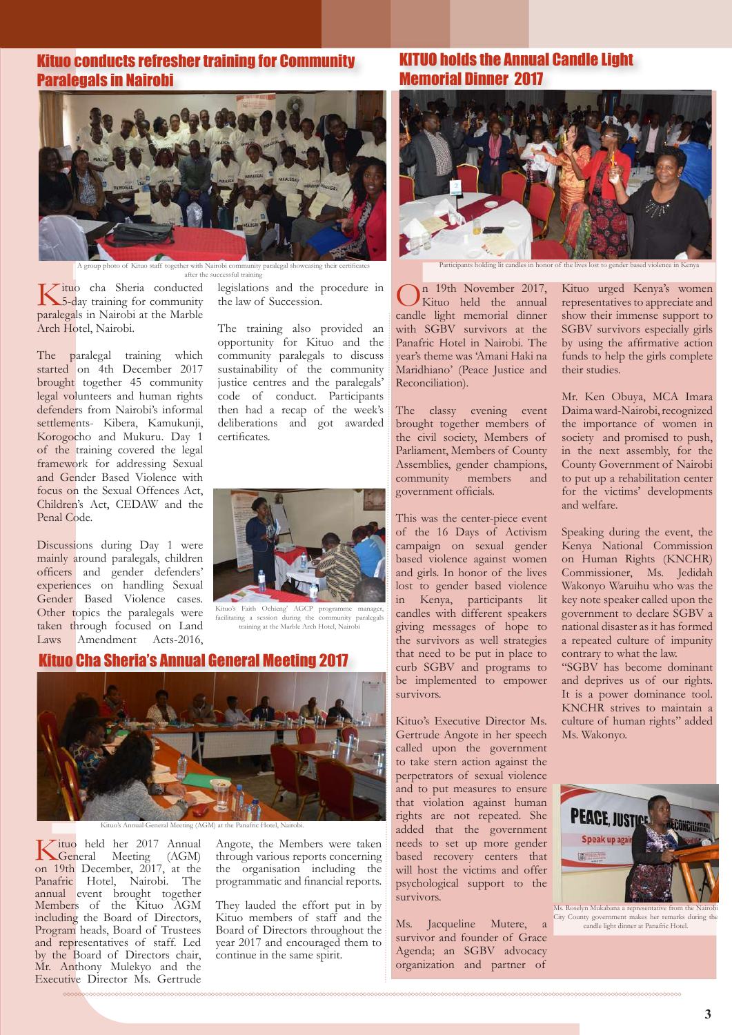### Kituo conducts refresher training for Community Paralegals in Nairobi



together with Nairobi community paralegal show after the successful training

Kituo cha Sheria conducted 5-day training for community paralegals in Nairobi at the Marble Arch Hotel, Nairobi.

The paralegal training which started on 4th December 2017 brought together 45 community legal volunteers and human rights defenders from Nairobi's informal settlements- Kibera, Kamukunji, Korogocho and Mukuru. Day 1 of the training covered the legal framework for addressing Sexual and Gender Based Violence with focus on the Sexual Offences Act, Children's Act, CEDAW and the Penal Code.

Discussions during Day 1 were mainly around paralegals, children officers and gender defenders' experiences on handling Sexual Gender Based Violence cases. Other topics the paralegals were taken through focused on Land Laws Amendment Acts-2016,

 $\tau$ ituo cha Sheria conducted legislations and the procedure in the law of Succession.

> The training also provided an opportunity for Kituo and the community paralegals to discuss sustainability of the community justice centres and the paralegals' code of conduct. Participants then had a recap of the week's deliberations and got awarded certificates.



Kituo's Faith Ochieng' AGCP programme manager<br>facilitating a session during the community paralegals facilitating a session training at the Marble Arch Hotel, Nairobi

#### Kituo Cha Sheria's Annual General Meeting 2017



General Meeting (AGM) at the Panafr

Kituo held her 2017 Annual General Meeting (AGM) on 19th December, 2017, at the Panafric Hotel, Nairobi. The annual event brought together Members of the Kituo AGM including the Board of Directors, Program heads, Board of Trustees and representatives of staff. Led by the Board of Directors chair, Mr. Anthony Mulekyo and the Executive Director Ms. Gertrude

Angote, the Members were taken through various reports concerning the organisation including the programmatic and financial reports.

They lauded the effort put in by Kituo members of staff and the Board of Directors throughout the year 2017 and encouraged them to continue in the same spirit.

#### KITUO holds the Annual Candle Light Memorial Dinner 2017



Participants holding lit candles in honor of the lives lost to gender based violence in Kenya

 $\int$ n 19th November 2017, Kituo held the annual candle light memorial dinner with SGBV survivors at the Panafric Hotel in Nairobi. The year's theme was 'Amani Haki na Maridhiano' (Peace Justice and Reconciliation).

The classy evening event brought together members of the civil society, Members of Parliament, Members of County Assemblies, gender champions, community members and government officials.

This was the center-piece event of the 16 Days of Activism campaign on sexual gender based violence against women and girls. In honor of the lives lost to gender based violence in Kenya, participants lit candles with different speakers giving messages of hope to the survivors as well strategies that need to be put in place to curb SGBV and programs to be implemented to empower survivors.

Kituo's Executive Director Ms. Gertrude Angote in her speech called upon the government to take stern action against the perpetrators of sexual violence and to put measures to ensure that violation against human rights are not repeated. She added that the government needs to set up more gender based recovery centers that will host the victims and offer psychological support to the survivors.

Ms. Jacqueline Mutere, a survivor and founder of Grace Agenda; an SGBV advocacy organization and partner of

Kituo urged Kenya's women representatives to appreciate and show their immense support to SGBV survivors especially girls by using the affirmative action funds to help the girls complete their studies.

Mr. Ken Obuya, MCA Imara Daima ward-Nairobi, recognized the importance of women in society and promised to push, in the next assembly, for the County Government of Nairobi to put up a rehabilitation center for the victims' developments and welfare.

Speaking during the event, the Kenya National Commission on Human Rights (KNCHR) Commissioner, Ms. Jedidah Wakonyo Waruihu who was the key note speaker called upon the government to declare SGBV a national disaster as it has formed a repeated culture of impunity contrary to what the law.

"SGBV has become dominant and deprives us of our rights. It is a power dominance tool. KNCHR strives to maintain a culture of human rights" added Ms. Wakonyo.



Ms. Roselyn Mukabana a representative from the Nair City County government makes her remarks during the candle light dinner at Panafric Hotel.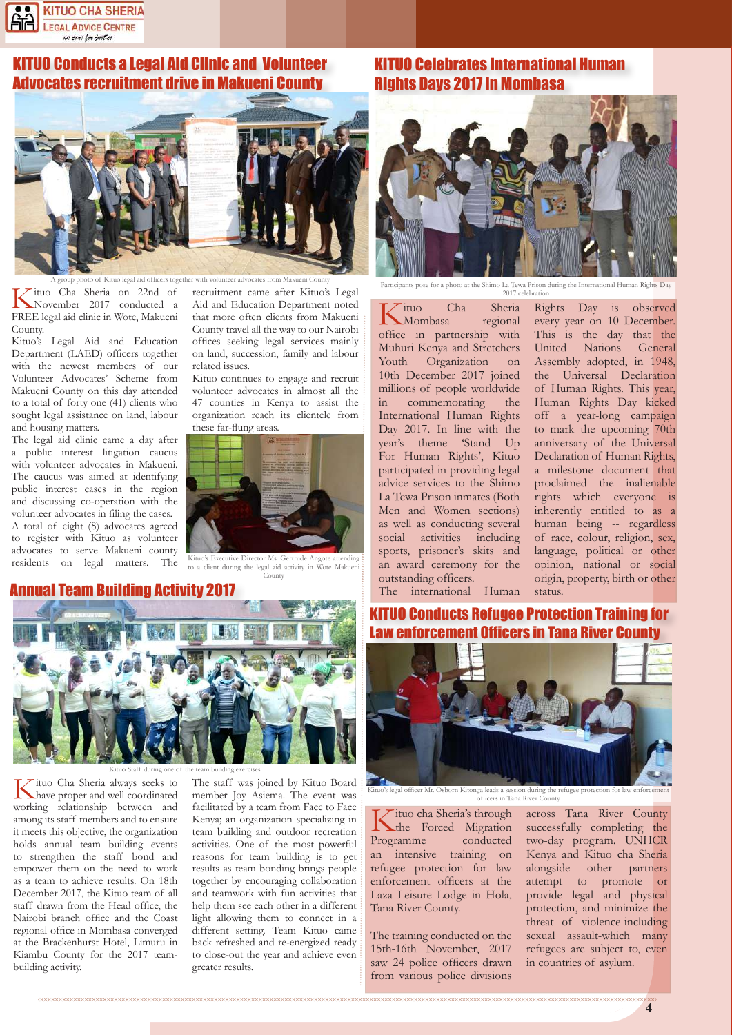

## **UO Conducts a Legal Aid Clinic and Volunteer** Advocates recruitment drive in Makueni County



Kituo Cha Sheria on 22nd of November 2017 conducted a FREE legal aid clinic in Wote, Makueni County.

Kituo's Legal Aid and Education Department (LAED) officers together with the newest members of our Volunteer Advocates' Scheme from Makueni County on this day attended to a total of forty one (41) clients who sought legal assistance on land, labour and housing matters.

The legal aid clinic came a day after a public interest litigation caucus with volunteer advocates in Makueni. The caucus was aimed at identifying public interest cases in the region and discussing co-operation with the volunteer advocates in filing the cases. A total of eight (8) advocates agreed to register with Kituo as volunteer advocates to serve Makueni county residents on legal matters. The recruitment came after Kituo's Legal Aid and Education Department noted that more often clients from Makueni County travel all the way to our Nairobi offices seeking legal services mainly on land, succession, family and labour related issues.

Kituo continues to engage and recruit volunteer advocates in almost all the 47 counties in Kenya to assist the organization reach its clientele from these far-flung areas.



Kituo's Executive Director Ms. Gertrude Angote attending

#### Annual Team Building Activity 2017



to a client during the legal aid activity in Wote Makueni County

### KITUO Celebrates International Human Rights Days 2017 in Mombasa



Participants pose for a photo at the Shimo La Tewa Prison during the International Human Rights Day 2017 celebration

Kituo Cha Sheria Mombasa regional office in partnership with Muhuri Kenya and Stretchers Youth Organization on 10th December 2017 joined the Universal Declaration millions of people worldwide in commemorating the International Human Rights Day 2017. In line with the year's theme 'Stand Up For Human Rights', Kituo participated in providing legal advice services to the Shimo La Tewa Prison inmates (Both Men and Women sections) as well as conducting several social activities including sports, prisoner's skits and an award ceremony for the outstanding officers.

The international Human

Rights Day is observed every year on 10 December. This is the day that the United Nations General Assembly adopted, in 1948, of Human Rights. This year, Human Rights Day kicked off a year-long campaign to mark the upcoming 70th anniversary of the Universal Declaration of Human Rights, a milestone document that proclaimed the inalienable rights which everyone is inherently entitled to as a human being -- regardless of race, colour, religion, sex, language, political or other opinion, national or social origin, property, birth or other status.

#### **Conducts Refugee Protection Training for enforcement Officers in Tana River County**



Kituo's legal officer Mr. Osborn Kitonga leads a session during the refugee protection for law enforcement officers in Tana River County

Kituo cha Sheria's through the Forced Migration Programme conducted an intensive training on refugee protection for law enforcement officers at the Laza Leisure Lodge in Hola, Tana River County.

The training conducted on the 15th-16th November, 2017 saw 24 police officers drawn from various police divisions across Tana River County successfully completing the two-day program. UNHCR Kenya and Kituo cha Sheria alongside other partners attempt to promote or provide legal and physical protection, and minimize the threat of violence-including sexual assault-which many refugees are subject to, even in countries of asylum.

Kituo Cha Sheria always seeks to have proper and well coordinated working relationship between and among its staff members and to ensure it meets this objective, the organization holds annual team building events to strengthen the staff bond and empower them on the need to work as a team to achieve results. On 18th December 2017, the Kituo team of all staff drawn from the Head office, the Nairobi branch office and the Coast Kituo Staff during one of the team building exercises

regional office in Mombasa converged at the Brackenhurst Hotel, Limuru in Kiambu County for the 2017 team-

building activity.

The staff was joined by Kituo Board member Joy Asiema. The event was facilitated by a team from Face to Face Kenya; an organization specializing in team building and outdoor recreation activities. One of the most powerful reasons for team building is to get results as team bonding brings people together by encouraging collaboration and teamwork with fun activities that help them see each other in a different light allowing them to connect in a different setting. Team Kituo came back refreshed and re-energized ready to close-out the year and achieve even greater results.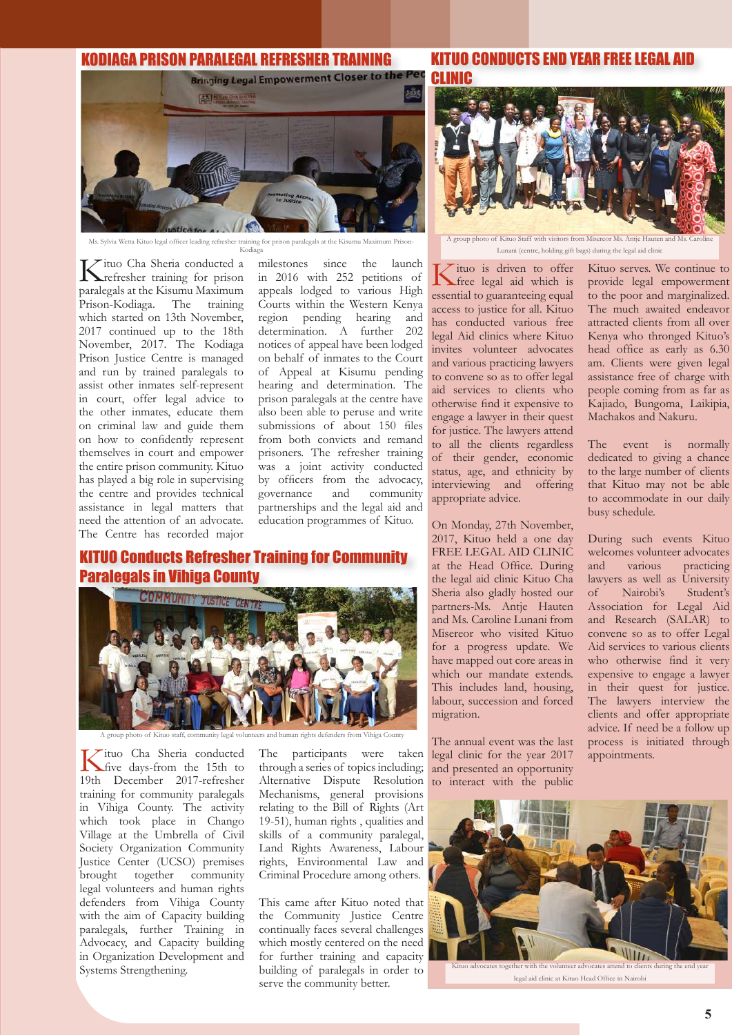# KODIAGA PRISON PARALEGAL REFRESHER TRAINING



Ms. Sylvia Wetta Kituo legal officer leading refresher training for prison paralegals at the Kis Kodiaga

Kituo Cha Sheria conducted a refresher training for prison paralegals at the Kisumu Maximum Prison-Kodiaga. The training which started on 13th November, 2017 continued up to the 18th November, 2017. The Kodiaga Prison Justice Centre is managed and run by trained paralegals to assist other inmates self-represent in court, offer legal advice to the other inmates, educate them on criminal law and guide them on how to confidently represent themselves in court and empower the entire prison community. Kituo has played a big role in supervising the centre and provides technical assistance in legal matters that need the attention of an advocate. The Centre has recorded major

milestones since the launch in 2016 with 252 petitions of appeals lodged to various High Courts within the Western Kenya region pending hearing and determination. A further 202 notices of appeal have been lodged on behalf of inmates to the Court of Appeal at Kisumu pending hearing and determination. The prison paralegals at the centre have also been able to peruse and write submissions of about 150 files from both convicts and remand prisoners. The refresher training was a joint activity conducted by officers from the advocacy, governance and community partnerships and the legal aid and education programmes of Kituo.

### KITUO Conducts Refresher Training for Community Paralegals in Vihiga County



A group photo of Kituo staff, community legal volunteers and human rights defenders from Vihiga County

Kituo Cha Sheria conducted<br>
five days-from the 15th to<br>  $\frac{15}{100}$ 19th December 2017-refresher training for community paralegals in Vihiga County. The activity which took place in Chango Village at the Umbrella of Civil Society Organization Community Justice Center (UCSO) premises brought together community legal volunteers and human rights defenders from Vihiga County with the aim of Capacity building paralegals, further Training in Advocacy, and Capacity building in Organization Development and Systems Strengthening.

The participants were taken through a series of topics including; Alternative Dispute Resolution Mechanisms, general provisions relating to the Bill of Rights (Art 19-51), human rights , qualities and skills of a community paralegal, Land Rights Awareness, Labour rights, Environmental Law and Criminal Procedure among others.

This came after Kituo noted that the Community Justice Centre continually faces several challenges which mostly centered on the need for further training and capacity building of paralegals in order to serve the community better.

# KITIIN CONDIICTS END YEAR FREE LEGAL



Lunani (centre, holding gift bags) during the legal aid clinic

Kituo is driven to offer free legal aid which is essential to guaranteeing equal access to justice for all. Kituo has conducted various free legal Aid clinics where Kituo invites volunteer advocates and various practicing lawyers to convene so as to offer legal aid services to clients who otherwise find it expensive to engage a lawyer in their quest for justice. The lawyers attend to all the clients regardless of their gender, economic status, age, and ethnicity by interviewing and offering appropriate advice.

On Monday, 27th November, 2017, Kituo held a one day FREE LEGAL AID CLINIC at the Head Office. During the legal aid clinic Kituo Cha Sheria also gladly hosted our partners-Ms. Antje Hauten and Ms. Caroline Lunani from Misereor who visited Kituo for a progress update. We have mapped out core areas in which our mandate extends. This includes land, housing, labour, succession and forced migration.

The annual event was the last legal clinic for the year 2017 and presented an opportunity to interact with the public

Kituo serves. We continue to provide legal empowerment to the poor and marginalized. The much awaited endeavor attracted clients from all over Kenya who thronged Kituo's head office as early as 6.30 am. Clients were given legal assistance free of charge with people coming from as far as Kajiado, Bungoma, Laikipia, Machakos and Nakuru.

The event is normally dedicated to giving a chance to the large number of clients that Kituo may not be able to accommodate in our daily busy schedule.

During such events Kituo welcomes volunteer advocates and various practicing lawyers as well as University of Nairobi's Student's Association for Legal Aid and Research (SALAR) to convene so as to offer Legal Aid services to various clients who otherwise find it very expensive to engage a lawyer in their quest for justice. The lawyers interview the clients and offer appropriate advice. If need be a follow up process is initiated through appointments.

**55 <sup>5</sup>**